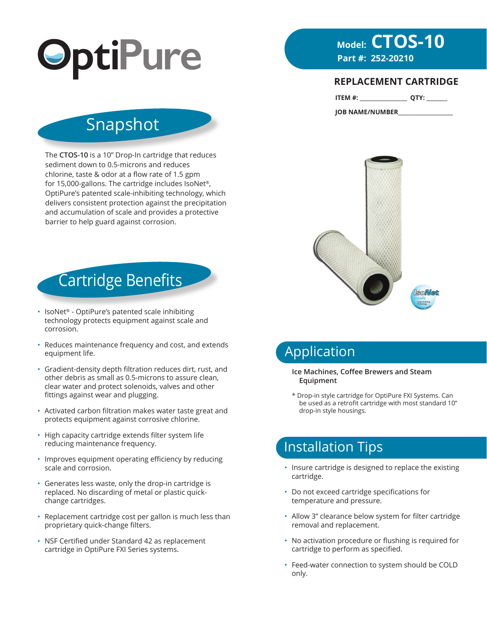

# **Model: CTOS-10**<br>Part #: 252-20210

### **REPLACEMENT CARTRIDGE**

| ITEM #: |  |  |  |
|---------|--|--|--|
|---------|--|--|--|

**JOB NAME/NUMBER\_\_\_\_\_\_\_\_\_\_\_\_\_\_\_\_\_\_\_\_\_**



# Application

#### **Ice Machines, Coffee Brewers and Steam Equipment**

\* Drop-in style cartridge for OptiPure FXI Systems. Can be used as a retrofit cartridge with most standard 10" drop-in style housings.

### Installation Tips

- Insure cartridge is designed to replace the existing cartridge.
- Do not exceed cartridge specifications for temperature and pressure.
- Allow 3" clearance below system for filter cartridge removal and replacement.
- No activation procedure or flushing is required for cartridge to perform as specified.
- Feed-water connection to system should be COLD only.

## Snapshot

The **CTOS-10** is a 10" Drop-In cartridge that reduces sediment down to 0.5-microns and reduces chlorine, taste & odor at a flow rate of 1.5 gpm for 15,000-gallons. The cartridge includes IsoNet®, OptiPure's patented scale-inhibiting technology, which delivers consistent protection against the precipitation and accumulation of scale and provides a protective barrier to help guard against corrosion.

# Cartridge Benefits

- IsoNet<sup>®</sup> OptiPure's patented scale inhibiting technology protects equipment against scale and corrosion.
- Reduces maintenance frequency and cost, and extends equipment life.
- Gradient-density depth filtration reduces dirt, rust, and other debris as small as 0.5-microns to assure clean, clear water and protect solenoids, valves and other fittings against wear and plugging.
- Activated carbon filtration makes water taste great and protects equipment against corrosive chlorine.
- High capacity cartridge extends filter system life reducing maintenance frequency.
- Improves equipment operating efficiency by reducing scale and corrosion.
- Generates less waste, only the drop-in cartridge is replaced. No discarding of metal or plastic quickchange cartridges.
- Replacement cartridge cost per gallon is much less than proprietary quick-change filters.
- NSF Certified under Standard 42 as replacement cartridge in OptiPure FXI Series systems.